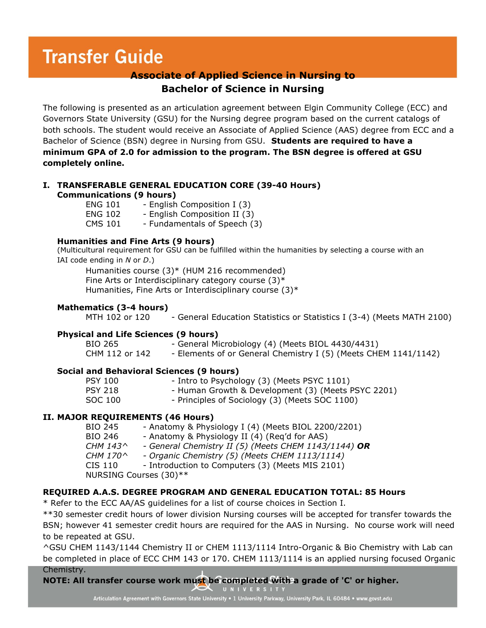# **Transfer Guide**

# **Associate of Applied Science in Nursing to Bachelor of Science in Nursing**

The following is presented as an articulation agreement between Elgin Community College (ECC) and Governors State University (GSU) for the Nursing degree program based on the current catalogs of both schools. The student would receive an Associate of Applied Science (AAS) degree from ECC and a Bachelor of Science (BSN) degree in Nursing from GSU. **Students are required to have a minimum GPA of 2.0 for admission to the program. The BSN degree is offered at GSU completely online.**

# **I. TRANSFERABLE GENERAL EDUCATION CORE (39-40 Hours) Communications (9 hours)**

ENG 101 - English Composition I (3) ENG 102 - English Composition II (3) CMS 101 - Fundamentals of Speech (3)

#### **Humanities and Fine Arts (9 hours)**

(Multicultural requirement for GSU can be fulfilled within the humanities by selecting a course with an IAI code ending in *N* or *D*.)

Humanities course (3)\* (HUM 216 recommended) Fine Arts or Interdisciplinary category course  $(3)^*$ Humanities, Fine Arts or Interdisciplinary course (3)\*

## **Mathematics (3-4 hours)**

MTH 102 or 120 - General Education Statistics or Statistics I (3-4) (Meets MATH 2100)

#### **Physical and Life Sciences (9 hours)**

BIO 265 - General Microbiology (4) (Meets BIOL 4430/4431) CHM 112 or 142 - Elements of or General Chemistry I (5) (Meets CHEM 1141/1142)

## **Social and Behavioral Sciences (9 hours)**

| <b>PSY 100</b> | - Intro to Psychology (3) (Meets PSYC 1101)        |
|----------------|----------------------------------------------------|
| <b>PSY 218</b> | - Human Growth & Development (3) (Meets PSYC 2201) |
| SOC 100        | - Principles of Sociology (3) (Meets SOC 1100)     |
|                |                                                    |

## **II. MAJOR REQUIREMENTS (46 Hours)**

BIO 245 - Anatomy & Physiology I (4) (Meets BIOL 2200/2201) BIO 246 - Anatomy & Physiology II (4) (Req'd for AAS)<br>CHM 143^ - General Chemistry II (5) (Meets CHEM 1143/ *CHM 143^ - General Chemistry II (5) (Meets CHEM 1143/1144) OR CHM 170^ - Organic Chemistry (5) (Meets CHEM 1113/1114)* CIS 110 - Introduction to Computers (3) (Meets MIS 2101) NURSING Courses (30)\*\*

## **REQUIRED A.A.S. DEGREE PROGRAM AND GENERAL EDUCATION TOTAL: 85 Hours**

\* Refer to the ECC AA/AS guidelines for a list of course choices in Section I.

\*\*30 semester credit hours of lower division Nursing courses will be accepted for transfer towards the BSN; however 41 semester credit hours are required for the AAS in Nursing. No course work will need to be repeated at GSU.

^GSU CHEM 1143/1144 Chemistry II or CHEM 1113/1114 Intro-Organic & Bio Chemistry with Lab can be completed in place of ECC CHM 143 or 170. CHEM 1113/1114 is an applied nursing focused Organic Chemistry.

**NOTE: All transfer course work must be completed with a grade of 'C' or higher.** 

**L** UNIVERSITY

Articulation Agreement with Governors State University . 1 University Parkway, University Park, IL 60484 . www.govst.edu